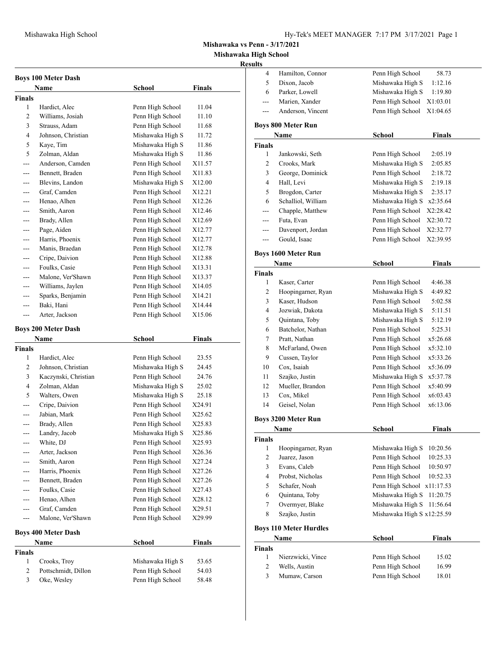**Mishawaka vs Penn - 3/17/2021**

**Mishawaka High School**

## **Result**

| <b>Boys 100 Meter Dash</b> |                                    |                  |               |  |  |
|----------------------------|------------------------------------|------------------|---------------|--|--|
|                            | Name                               | <b>School</b>    | Finals        |  |  |
| <b>Finals</b>              |                                    |                  |               |  |  |
| 1                          | Hardict, Alec                      | Penn High School | 11.04         |  |  |
| 2                          | Williams, Josiah                   | Penn High School | 11.10         |  |  |
| 3                          | Strauss, Adam                      | Penn High School | 11.68         |  |  |
| 4                          | Johnson, Christian                 | Mishawaka High S | 11.72         |  |  |
| 5                          | Kaye, Tim                          | Mishawaka High S | 11.86         |  |  |
| 5                          | Zolman, Aldan                      | Mishawaka High S | 11.86         |  |  |
|                            | Anderson, Camden                   | Penn High School | X11.57        |  |  |
|                            | Bennett, Braden                    | Penn High School | X11.83        |  |  |
| ---                        | Blevins, Landon                    | Mishawaka High S | X12.00        |  |  |
| ---                        | Graf, Camden                       | Penn High School | X12.21        |  |  |
| ---                        | Henao, Alhen                       | Penn High School | X12.26        |  |  |
| ---                        | Smith, Aaron                       | Penn High School | X12.46        |  |  |
| ---                        | Brady, Allen                       | Penn High School | X12.69        |  |  |
| ---                        | Page, Aiden                        | Penn High School | X12.77        |  |  |
| ---                        | Harris, Phoenix                    | Penn High School | X12.77        |  |  |
| ---                        | Manis, Braedan                     | Penn High School | X12.78        |  |  |
| ---                        | Cripe, Daivion                     | Penn High School | X12.88        |  |  |
| ---                        | Foulks, Casie                      | Penn High School | X13.31        |  |  |
| ---                        | Malone, Ver'Shawn                  | Penn High School | X13.37        |  |  |
| ---                        | Williams, Jaylen                   | Penn High School | X14.05        |  |  |
| ---                        | Sparks, Benjamin                   | Penn High School | X14.21        |  |  |
| ---                        | Baki, Hani                         | Penn High School | X14.44        |  |  |
| ---                        | Arter, Jackson                     | Penn High School | X15.06        |  |  |
|                            |                                    |                  |               |  |  |
|                            | <b>Boys 200 Meter Dash</b><br>Name |                  | <b>Finals</b> |  |  |
|                            |                                    |                  |               |  |  |
|                            |                                    | School           |               |  |  |
| <b>Finals</b>              |                                    |                  |               |  |  |
| 1                          | Hardict, Alec                      | Penn High School | 23.55         |  |  |
| 2                          | Johnson, Christian                 | Mishawaka High S | 24.45         |  |  |
| 3                          | Kaczynski, Christian               | Penn High School | 24.76         |  |  |
| 4                          | Zolman, Aldan                      | Mishawaka High S | 25.02         |  |  |
| 5                          | Walters, Owen                      | Mishawaka High S | 25.18         |  |  |
|                            | Cripe, Daivion                     | Penn High School | X24.91        |  |  |
|                            | Jabian, Mark                       | Penn High School | X25.62        |  |  |
| ---                        | Brady, Allen                       | Penn High School | X25.83        |  |  |
| ---                        | Landry, Jacob                      | Mishawaka High S | X25.86        |  |  |
| ---                        | White, DJ                          | Penn High School | X25.93        |  |  |
| ---                        | Arter, Jackson                     | Penn High School | X26.36        |  |  |
|                            | Smith, Aaron                       | Penn High School | X27.24        |  |  |
|                            | Harris, Phoenix                    | Penn High School | X27.26        |  |  |
| ---                        | Bennett, Braden                    | Penn High School | X27.26        |  |  |
| ---                        | Foulks, Casie                      | Penn High School | X27.43        |  |  |
| ---                        | Henao, Alhen                       | Penn High School | X28.12        |  |  |
| ---                        | Graf, Camden                       | Penn High School | X29.51        |  |  |
| ---                        | Malone, Ver'Shawn                  | Penn High School | X29.99        |  |  |
|                            | <b>Boys 400 Meter Dash</b>         |                  |               |  |  |
|                            | Name                               | <b>School</b>    | <b>Finals</b> |  |  |
| <b>Finals</b>              |                                    |                  |               |  |  |
| 1                          | Crooks, Troy                       | Mishawaka High S | 53.65         |  |  |
| 2                          | Pottschmidt, Dillon                | Penn High School | 54.03         |  |  |
| 3                          | Oke, Wesley                        | Penn High School | 58.48         |  |  |

| $\overline{4}$<br>Hamilton, Connor<br>Penn High School<br>58.73<br>5<br>Dixon, Jacob<br>Mishawaka High S<br>1:12.16<br>6<br>Parker, Lowell<br>Mishawaka High S<br>1:19.80<br>Marien, Xander<br>Penn High School<br>X1:03.01<br>---<br>Anderson, Vincent<br>Penn High School<br>X1:04.65<br>$---$<br><b>Boys 800 Meter Run</b><br><b>Finals</b><br>School<br>Name<br><b>Finals</b><br>1<br>Jankowski, Seth<br>Penn High School<br>2:05.19<br>$\mathfrak{2}$<br>Mishawaka High S<br>Crooks, Mark<br>2:05.85<br>George, Dominick<br>3<br>Penn High School<br>2:18.72<br>4<br>Hall, Levi<br>Mishawaka High S<br>2:19.18<br>5<br>Mishawaka High S<br>Brogdon, Carter<br>2:35.17<br>6<br>Schalliol, William<br>Mishawaka High S<br>x2:35.64<br>Chapple, Matthew<br>Penn High School<br>X2:28.42<br>$---$<br>Futa, Evan<br>Penn High School<br>X2:30.72<br>---<br>Davenport, Jordan<br>Penn High School<br>X2:32.77<br>---<br>Penn High School<br>Gould, Isaac<br>X2:39.95<br>---<br><b>Boys 1600 Meter Run</b><br>School<br><b>Finals</b><br>Name<br><b>Finals</b><br>1<br>Kaser, Carter<br>Penn High School<br>4:46.38<br>$\overline{c}$<br>Mishawaka High S<br>Hoopingarner, Ryan<br>4:49.82<br>Kaser, Hudson<br>3<br>Penn High School<br>5:02.58<br>Jozwiak, Dakota<br>Mishawaka High S<br>4<br>5:11.51<br>5<br>Quintana, Toby<br>Mishawaka High S<br>5:12.19<br>Batchelor, Nathan<br>6<br>Penn High School<br>5:25.31<br>Penn High School<br>7<br>Pratt, Nathan<br>x5:26.68<br>8<br>McFarland, Owen<br>Penn High School<br>x5:32.10<br>9<br>Cussen, Taylor<br>Penn High School<br>x5:33.26<br>Cox, Isaiah<br>10<br>Penn High School<br>x5:36.09<br>Szajko, Justin<br>Mishawaka High S<br>11<br>x5:37.78<br>Mueller, Brandon<br>12<br>Penn High School<br>x5:40.99<br>Cox, Mikel<br>Penn High School<br>13<br>x6:03.43<br>14<br>Geisel, Nolan<br>Penn High School<br>x6:13.06<br><b>Boys 3200 Meter Run</b><br>Finals<br>School<br>Name<br><b>Finals</b><br>Hoopingarner, Ryan<br>Mishawaka High S<br>10:20.56<br>1<br>$\sqrt{2}$<br>Juarez, Jason<br>Penn High School<br>10:25.33<br>3<br>Evans, Caleb<br>Penn High School<br>10:50.97<br>$\overline{4}$<br>Penn High School<br>Probst, Nicholas<br>10:52.33<br>5<br>Schafer, Noah<br>Penn High School<br>x11:17.53<br>6<br>Quintana, Toby<br>Mishawaka High S<br>11:20.75<br>7<br>Overmyer, Blake<br>Mishawaka High S<br>11:56.64<br>Szajko, Justin<br>Mishawaka High S x12:25.59<br>8<br><b>Boys 110 Meter Hurdles</b><br>Name<br><b>School</b><br><b>Finals</b><br><b>Finals</b><br>Nierzwicki, Vince<br>Penn High School<br>1<br>15.02<br>Penn High School<br>2<br>Wells, Austin<br>16.99<br>3<br>Mumaw, Carson<br>Penn High School<br>18.01 | sults |  |  |
|------------------------------------------------------------------------------------------------------------------------------------------------------------------------------------------------------------------------------------------------------------------------------------------------------------------------------------------------------------------------------------------------------------------------------------------------------------------------------------------------------------------------------------------------------------------------------------------------------------------------------------------------------------------------------------------------------------------------------------------------------------------------------------------------------------------------------------------------------------------------------------------------------------------------------------------------------------------------------------------------------------------------------------------------------------------------------------------------------------------------------------------------------------------------------------------------------------------------------------------------------------------------------------------------------------------------------------------------------------------------------------------------------------------------------------------------------------------------------------------------------------------------------------------------------------------------------------------------------------------------------------------------------------------------------------------------------------------------------------------------------------------------------------------------------------------------------------------------------------------------------------------------------------------------------------------------------------------------------------------------------------------------------------------------------------------------------------------------------------------------------------------------------------------------------------------------------------------------------------------------------------------------------------------------------------------------------------------------------------------------------------------------------------------------------------------------------------------------------------------------------------------------------------------------------------------------------------------------------------------------------------------------------------------------------------------------|-------|--|--|
|                                                                                                                                                                                                                                                                                                                                                                                                                                                                                                                                                                                                                                                                                                                                                                                                                                                                                                                                                                                                                                                                                                                                                                                                                                                                                                                                                                                                                                                                                                                                                                                                                                                                                                                                                                                                                                                                                                                                                                                                                                                                                                                                                                                                                                                                                                                                                                                                                                                                                                                                                                                                                                                                                                |       |  |  |
|                                                                                                                                                                                                                                                                                                                                                                                                                                                                                                                                                                                                                                                                                                                                                                                                                                                                                                                                                                                                                                                                                                                                                                                                                                                                                                                                                                                                                                                                                                                                                                                                                                                                                                                                                                                                                                                                                                                                                                                                                                                                                                                                                                                                                                                                                                                                                                                                                                                                                                                                                                                                                                                                                                |       |  |  |
|                                                                                                                                                                                                                                                                                                                                                                                                                                                                                                                                                                                                                                                                                                                                                                                                                                                                                                                                                                                                                                                                                                                                                                                                                                                                                                                                                                                                                                                                                                                                                                                                                                                                                                                                                                                                                                                                                                                                                                                                                                                                                                                                                                                                                                                                                                                                                                                                                                                                                                                                                                                                                                                                                                |       |  |  |
|                                                                                                                                                                                                                                                                                                                                                                                                                                                                                                                                                                                                                                                                                                                                                                                                                                                                                                                                                                                                                                                                                                                                                                                                                                                                                                                                                                                                                                                                                                                                                                                                                                                                                                                                                                                                                                                                                                                                                                                                                                                                                                                                                                                                                                                                                                                                                                                                                                                                                                                                                                                                                                                                                                |       |  |  |
|                                                                                                                                                                                                                                                                                                                                                                                                                                                                                                                                                                                                                                                                                                                                                                                                                                                                                                                                                                                                                                                                                                                                                                                                                                                                                                                                                                                                                                                                                                                                                                                                                                                                                                                                                                                                                                                                                                                                                                                                                                                                                                                                                                                                                                                                                                                                                                                                                                                                                                                                                                                                                                                                                                |       |  |  |
|                                                                                                                                                                                                                                                                                                                                                                                                                                                                                                                                                                                                                                                                                                                                                                                                                                                                                                                                                                                                                                                                                                                                                                                                                                                                                                                                                                                                                                                                                                                                                                                                                                                                                                                                                                                                                                                                                                                                                                                                                                                                                                                                                                                                                                                                                                                                                                                                                                                                                                                                                                                                                                                                                                |       |  |  |
|                                                                                                                                                                                                                                                                                                                                                                                                                                                                                                                                                                                                                                                                                                                                                                                                                                                                                                                                                                                                                                                                                                                                                                                                                                                                                                                                                                                                                                                                                                                                                                                                                                                                                                                                                                                                                                                                                                                                                                                                                                                                                                                                                                                                                                                                                                                                                                                                                                                                                                                                                                                                                                                                                                |       |  |  |
|                                                                                                                                                                                                                                                                                                                                                                                                                                                                                                                                                                                                                                                                                                                                                                                                                                                                                                                                                                                                                                                                                                                                                                                                                                                                                                                                                                                                                                                                                                                                                                                                                                                                                                                                                                                                                                                                                                                                                                                                                                                                                                                                                                                                                                                                                                                                                                                                                                                                                                                                                                                                                                                                                                |       |  |  |
|                                                                                                                                                                                                                                                                                                                                                                                                                                                                                                                                                                                                                                                                                                                                                                                                                                                                                                                                                                                                                                                                                                                                                                                                                                                                                                                                                                                                                                                                                                                                                                                                                                                                                                                                                                                                                                                                                                                                                                                                                                                                                                                                                                                                                                                                                                                                                                                                                                                                                                                                                                                                                                                                                                |       |  |  |
|                                                                                                                                                                                                                                                                                                                                                                                                                                                                                                                                                                                                                                                                                                                                                                                                                                                                                                                                                                                                                                                                                                                                                                                                                                                                                                                                                                                                                                                                                                                                                                                                                                                                                                                                                                                                                                                                                                                                                                                                                                                                                                                                                                                                                                                                                                                                                                                                                                                                                                                                                                                                                                                                                                |       |  |  |
|                                                                                                                                                                                                                                                                                                                                                                                                                                                                                                                                                                                                                                                                                                                                                                                                                                                                                                                                                                                                                                                                                                                                                                                                                                                                                                                                                                                                                                                                                                                                                                                                                                                                                                                                                                                                                                                                                                                                                                                                                                                                                                                                                                                                                                                                                                                                                                                                                                                                                                                                                                                                                                                                                                |       |  |  |
|                                                                                                                                                                                                                                                                                                                                                                                                                                                                                                                                                                                                                                                                                                                                                                                                                                                                                                                                                                                                                                                                                                                                                                                                                                                                                                                                                                                                                                                                                                                                                                                                                                                                                                                                                                                                                                                                                                                                                                                                                                                                                                                                                                                                                                                                                                                                                                                                                                                                                                                                                                                                                                                                                                |       |  |  |
|                                                                                                                                                                                                                                                                                                                                                                                                                                                                                                                                                                                                                                                                                                                                                                                                                                                                                                                                                                                                                                                                                                                                                                                                                                                                                                                                                                                                                                                                                                                                                                                                                                                                                                                                                                                                                                                                                                                                                                                                                                                                                                                                                                                                                                                                                                                                                                                                                                                                                                                                                                                                                                                                                                |       |  |  |
|                                                                                                                                                                                                                                                                                                                                                                                                                                                                                                                                                                                                                                                                                                                                                                                                                                                                                                                                                                                                                                                                                                                                                                                                                                                                                                                                                                                                                                                                                                                                                                                                                                                                                                                                                                                                                                                                                                                                                                                                                                                                                                                                                                                                                                                                                                                                                                                                                                                                                                                                                                                                                                                                                                |       |  |  |
|                                                                                                                                                                                                                                                                                                                                                                                                                                                                                                                                                                                                                                                                                                                                                                                                                                                                                                                                                                                                                                                                                                                                                                                                                                                                                                                                                                                                                                                                                                                                                                                                                                                                                                                                                                                                                                                                                                                                                                                                                                                                                                                                                                                                                                                                                                                                                                                                                                                                                                                                                                                                                                                                                                |       |  |  |
|                                                                                                                                                                                                                                                                                                                                                                                                                                                                                                                                                                                                                                                                                                                                                                                                                                                                                                                                                                                                                                                                                                                                                                                                                                                                                                                                                                                                                                                                                                                                                                                                                                                                                                                                                                                                                                                                                                                                                                                                                                                                                                                                                                                                                                                                                                                                                                                                                                                                                                                                                                                                                                                                                                |       |  |  |
|                                                                                                                                                                                                                                                                                                                                                                                                                                                                                                                                                                                                                                                                                                                                                                                                                                                                                                                                                                                                                                                                                                                                                                                                                                                                                                                                                                                                                                                                                                                                                                                                                                                                                                                                                                                                                                                                                                                                                                                                                                                                                                                                                                                                                                                                                                                                                                                                                                                                                                                                                                                                                                                                                                |       |  |  |
|                                                                                                                                                                                                                                                                                                                                                                                                                                                                                                                                                                                                                                                                                                                                                                                                                                                                                                                                                                                                                                                                                                                                                                                                                                                                                                                                                                                                                                                                                                                                                                                                                                                                                                                                                                                                                                                                                                                                                                                                                                                                                                                                                                                                                                                                                                                                                                                                                                                                                                                                                                                                                                                                                                |       |  |  |
|                                                                                                                                                                                                                                                                                                                                                                                                                                                                                                                                                                                                                                                                                                                                                                                                                                                                                                                                                                                                                                                                                                                                                                                                                                                                                                                                                                                                                                                                                                                                                                                                                                                                                                                                                                                                                                                                                                                                                                                                                                                                                                                                                                                                                                                                                                                                                                                                                                                                                                                                                                                                                                                                                                |       |  |  |
|                                                                                                                                                                                                                                                                                                                                                                                                                                                                                                                                                                                                                                                                                                                                                                                                                                                                                                                                                                                                                                                                                                                                                                                                                                                                                                                                                                                                                                                                                                                                                                                                                                                                                                                                                                                                                                                                                                                                                                                                                                                                                                                                                                                                                                                                                                                                                                                                                                                                                                                                                                                                                                                                                                |       |  |  |
|                                                                                                                                                                                                                                                                                                                                                                                                                                                                                                                                                                                                                                                                                                                                                                                                                                                                                                                                                                                                                                                                                                                                                                                                                                                                                                                                                                                                                                                                                                                                                                                                                                                                                                                                                                                                                                                                                                                                                                                                                                                                                                                                                                                                                                                                                                                                                                                                                                                                                                                                                                                                                                                                                                |       |  |  |
|                                                                                                                                                                                                                                                                                                                                                                                                                                                                                                                                                                                                                                                                                                                                                                                                                                                                                                                                                                                                                                                                                                                                                                                                                                                                                                                                                                                                                                                                                                                                                                                                                                                                                                                                                                                                                                                                                                                                                                                                                                                                                                                                                                                                                                                                                                                                                                                                                                                                                                                                                                                                                                                                                                |       |  |  |
|                                                                                                                                                                                                                                                                                                                                                                                                                                                                                                                                                                                                                                                                                                                                                                                                                                                                                                                                                                                                                                                                                                                                                                                                                                                                                                                                                                                                                                                                                                                                                                                                                                                                                                                                                                                                                                                                                                                                                                                                                                                                                                                                                                                                                                                                                                                                                                                                                                                                                                                                                                                                                                                                                                |       |  |  |
|                                                                                                                                                                                                                                                                                                                                                                                                                                                                                                                                                                                                                                                                                                                                                                                                                                                                                                                                                                                                                                                                                                                                                                                                                                                                                                                                                                                                                                                                                                                                                                                                                                                                                                                                                                                                                                                                                                                                                                                                                                                                                                                                                                                                                                                                                                                                                                                                                                                                                                                                                                                                                                                                                                |       |  |  |
|                                                                                                                                                                                                                                                                                                                                                                                                                                                                                                                                                                                                                                                                                                                                                                                                                                                                                                                                                                                                                                                                                                                                                                                                                                                                                                                                                                                                                                                                                                                                                                                                                                                                                                                                                                                                                                                                                                                                                                                                                                                                                                                                                                                                                                                                                                                                                                                                                                                                                                                                                                                                                                                                                                |       |  |  |
|                                                                                                                                                                                                                                                                                                                                                                                                                                                                                                                                                                                                                                                                                                                                                                                                                                                                                                                                                                                                                                                                                                                                                                                                                                                                                                                                                                                                                                                                                                                                                                                                                                                                                                                                                                                                                                                                                                                                                                                                                                                                                                                                                                                                                                                                                                                                                                                                                                                                                                                                                                                                                                                                                                |       |  |  |
|                                                                                                                                                                                                                                                                                                                                                                                                                                                                                                                                                                                                                                                                                                                                                                                                                                                                                                                                                                                                                                                                                                                                                                                                                                                                                                                                                                                                                                                                                                                                                                                                                                                                                                                                                                                                                                                                                                                                                                                                                                                                                                                                                                                                                                                                                                                                                                                                                                                                                                                                                                                                                                                                                                |       |  |  |
|                                                                                                                                                                                                                                                                                                                                                                                                                                                                                                                                                                                                                                                                                                                                                                                                                                                                                                                                                                                                                                                                                                                                                                                                                                                                                                                                                                                                                                                                                                                                                                                                                                                                                                                                                                                                                                                                                                                                                                                                                                                                                                                                                                                                                                                                                                                                                                                                                                                                                                                                                                                                                                                                                                |       |  |  |
|                                                                                                                                                                                                                                                                                                                                                                                                                                                                                                                                                                                                                                                                                                                                                                                                                                                                                                                                                                                                                                                                                                                                                                                                                                                                                                                                                                                                                                                                                                                                                                                                                                                                                                                                                                                                                                                                                                                                                                                                                                                                                                                                                                                                                                                                                                                                                                                                                                                                                                                                                                                                                                                                                                |       |  |  |
|                                                                                                                                                                                                                                                                                                                                                                                                                                                                                                                                                                                                                                                                                                                                                                                                                                                                                                                                                                                                                                                                                                                                                                                                                                                                                                                                                                                                                                                                                                                                                                                                                                                                                                                                                                                                                                                                                                                                                                                                                                                                                                                                                                                                                                                                                                                                                                                                                                                                                                                                                                                                                                                                                                |       |  |  |
|                                                                                                                                                                                                                                                                                                                                                                                                                                                                                                                                                                                                                                                                                                                                                                                                                                                                                                                                                                                                                                                                                                                                                                                                                                                                                                                                                                                                                                                                                                                                                                                                                                                                                                                                                                                                                                                                                                                                                                                                                                                                                                                                                                                                                                                                                                                                                                                                                                                                                                                                                                                                                                                                                                |       |  |  |
|                                                                                                                                                                                                                                                                                                                                                                                                                                                                                                                                                                                                                                                                                                                                                                                                                                                                                                                                                                                                                                                                                                                                                                                                                                                                                                                                                                                                                                                                                                                                                                                                                                                                                                                                                                                                                                                                                                                                                                                                                                                                                                                                                                                                                                                                                                                                                                                                                                                                                                                                                                                                                                                                                                |       |  |  |
|                                                                                                                                                                                                                                                                                                                                                                                                                                                                                                                                                                                                                                                                                                                                                                                                                                                                                                                                                                                                                                                                                                                                                                                                                                                                                                                                                                                                                                                                                                                                                                                                                                                                                                                                                                                                                                                                                                                                                                                                                                                                                                                                                                                                                                                                                                                                                                                                                                                                                                                                                                                                                                                                                                |       |  |  |
|                                                                                                                                                                                                                                                                                                                                                                                                                                                                                                                                                                                                                                                                                                                                                                                                                                                                                                                                                                                                                                                                                                                                                                                                                                                                                                                                                                                                                                                                                                                                                                                                                                                                                                                                                                                                                                                                                                                                                                                                                                                                                                                                                                                                                                                                                                                                                                                                                                                                                                                                                                                                                                                                                                |       |  |  |
|                                                                                                                                                                                                                                                                                                                                                                                                                                                                                                                                                                                                                                                                                                                                                                                                                                                                                                                                                                                                                                                                                                                                                                                                                                                                                                                                                                                                                                                                                                                                                                                                                                                                                                                                                                                                                                                                                                                                                                                                                                                                                                                                                                                                                                                                                                                                                                                                                                                                                                                                                                                                                                                                                                |       |  |  |
|                                                                                                                                                                                                                                                                                                                                                                                                                                                                                                                                                                                                                                                                                                                                                                                                                                                                                                                                                                                                                                                                                                                                                                                                                                                                                                                                                                                                                                                                                                                                                                                                                                                                                                                                                                                                                                                                                                                                                                                                                                                                                                                                                                                                                                                                                                                                                                                                                                                                                                                                                                                                                                                                                                |       |  |  |
|                                                                                                                                                                                                                                                                                                                                                                                                                                                                                                                                                                                                                                                                                                                                                                                                                                                                                                                                                                                                                                                                                                                                                                                                                                                                                                                                                                                                                                                                                                                                                                                                                                                                                                                                                                                                                                                                                                                                                                                                                                                                                                                                                                                                                                                                                                                                                                                                                                                                                                                                                                                                                                                                                                |       |  |  |
|                                                                                                                                                                                                                                                                                                                                                                                                                                                                                                                                                                                                                                                                                                                                                                                                                                                                                                                                                                                                                                                                                                                                                                                                                                                                                                                                                                                                                                                                                                                                                                                                                                                                                                                                                                                                                                                                                                                                                                                                                                                                                                                                                                                                                                                                                                                                                                                                                                                                                                                                                                                                                                                                                                |       |  |  |
|                                                                                                                                                                                                                                                                                                                                                                                                                                                                                                                                                                                                                                                                                                                                                                                                                                                                                                                                                                                                                                                                                                                                                                                                                                                                                                                                                                                                                                                                                                                                                                                                                                                                                                                                                                                                                                                                                                                                                                                                                                                                                                                                                                                                                                                                                                                                                                                                                                                                                                                                                                                                                                                                                                |       |  |  |
|                                                                                                                                                                                                                                                                                                                                                                                                                                                                                                                                                                                                                                                                                                                                                                                                                                                                                                                                                                                                                                                                                                                                                                                                                                                                                                                                                                                                                                                                                                                                                                                                                                                                                                                                                                                                                                                                                                                                                                                                                                                                                                                                                                                                                                                                                                                                                                                                                                                                                                                                                                                                                                                                                                |       |  |  |
|                                                                                                                                                                                                                                                                                                                                                                                                                                                                                                                                                                                                                                                                                                                                                                                                                                                                                                                                                                                                                                                                                                                                                                                                                                                                                                                                                                                                                                                                                                                                                                                                                                                                                                                                                                                                                                                                                                                                                                                                                                                                                                                                                                                                                                                                                                                                                                                                                                                                                                                                                                                                                                                                                                |       |  |  |
|                                                                                                                                                                                                                                                                                                                                                                                                                                                                                                                                                                                                                                                                                                                                                                                                                                                                                                                                                                                                                                                                                                                                                                                                                                                                                                                                                                                                                                                                                                                                                                                                                                                                                                                                                                                                                                                                                                                                                                                                                                                                                                                                                                                                                                                                                                                                                                                                                                                                                                                                                                                                                                                                                                |       |  |  |
|                                                                                                                                                                                                                                                                                                                                                                                                                                                                                                                                                                                                                                                                                                                                                                                                                                                                                                                                                                                                                                                                                                                                                                                                                                                                                                                                                                                                                                                                                                                                                                                                                                                                                                                                                                                                                                                                                                                                                                                                                                                                                                                                                                                                                                                                                                                                                                                                                                                                                                                                                                                                                                                                                                |       |  |  |
|                                                                                                                                                                                                                                                                                                                                                                                                                                                                                                                                                                                                                                                                                                                                                                                                                                                                                                                                                                                                                                                                                                                                                                                                                                                                                                                                                                                                                                                                                                                                                                                                                                                                                                                                                                                                                                                                                                                                                                                                                                                                                                                                                                                                                                                                                                                                                                                                                                                                                                                                                                                                                                                                                                |       |  |  |
|                                                                                                                                                                                                                                                                                                                                                                                                                                                                                                                                                                                                                                                                                                                                                                                                                                                                                                                                                                                                                                                                                                                                                                                                                                                                                                                                                                                                                                                                                                                                                                                                                                                                                                                                                                                                                                                                                                                                                                                                                                                                                                                                                                                                                                                                                                                                                                                                                                                                                                                                                                                                                                                                                                |       |  |  |
|                                                                                                                                                                                                                                                                                                                                                                                                                                                                                                                                                                                                                                                                                                                                                                                                                                                                                                                                                                                                                                                                                                                                                                                                                                                                                                                                                                                                                                                                                                                                                                                                                                                                                                                                                                                                                                                                                                                                                                                                                                                                                                                                                                                                                                                                                                                                                                                                                                                                                                                                                                                                                                                                                                |       |  |  |
|                                                                                                                                                                                                                                                                                                                                                                                                                                                                                                                                                                                                                                                                                                                                                                                                                                                                                                                                                                                                                                                                                                                                                                                                                                                                                                                                                                                                                                                                                                                                                                                                                                                                                                                                                                                                                                                                                                                                                                                                                                                                                                                                                                                                                                                                                                                                                                                                                                                                                                                                                                                                                                                                                                |       |  |  |
|                                                                                                                                                                                                                                                                                                                                                                                                                                                                                                                                                                                                                                                                                                                                                                                                                                                                                                                                                                                                                                                                                                                                                                                                                                                                                                                                                                                                                                                                                                                                                                                                                                                                                                                                                                                                                                                                                                                                                                                                                                                                                                                                                                                                                                                                                                                                                                                                                                                                                                                                                                                                                                                                                                |       |  |  |
|                                                                                                                                                                                                                                                                                                                                                                                                                                                                                                                                                                                                                                                                                                                                                                                                                                                                                                                                                                                                                                                                                                                                                                                                                                                                                                                                                                                                                                                                                                                                                                                                                                                                                                                                                                                                                                                                                                                                                                                                                                                                                                                                                                                                                                                                                                                                                                                                                                                                                                                                                                                                                                                                                                |       |  |  |
|                                                                                                                                                                                                                                                                                                                                                                                                                                                                                                                                                                                                                                                                                                                                                                                                                                                                                                                                                                                                                                                                                                                                                                                                                                                                                                                                                                                                                                                                                                                                                                                                                                                                                                                                                                                                                                                                                                                                                                                                                                                                                                                                                                                                                                                                                                                                                                                                                                                                                                                                                                                                                                                                                                |       |  |  |
|                                                                                                                                                                                                                                                                                                                                                                                                                                                                                                                                                                                                                                                                                                                                                                                                                                                                                                                                                                                                                                                                                                                                                                                                                                                                                                                                                                                                                                                                                                                                                                                                                                                                                                                                                                                                                                                                                                                                                                                                                                                                                                                                                                                                                                                                                                                                                                                                                                                                                                                                                                                                                                                                                                |       |  |  |
|                                                                                                                                                                                                                                                                                                                                                                                                                                                                                                                                                                                                                                                                                                                                                                                                                                                                                                                                                                                                                                                                                                                                                                                                                                                                                                                                                                                                                                                                                                                                                                                                                                                                                                                                                                                                                                                                                                                                                                                                                                                                                                                                                                                                                                                                                                                                                                                                                                                                                                                                                                                                                                                                                                |       |  |  |
|                                                                                                                                                                                                                                                                                                                                                                                                                                                                                                                                                                                                                                                                                                                                                                                                                                                                                                                                                                                                                                                                                                                                                                                                                                                                                                                                                                                                                                                                                                                                                                                                                                                                                                                                                                                                                                                                                                                                                                                                                                                                                                                                                                                                                                                                                                                                                                                                                                                                                                                                                                                                                                                                                                |       |  |  |
|                                                                                                                                                                                                                                                                                                                                                                                                                                                                                                                                                                                                                                                                                                                                                                                                                                                                                                                                                                                                                                                                                                                                                                                                                                                                                                                                                                                                                                                                                                                                                                                                                                                                                                                                                                                                                                                                                                                                                                                                                                                                                                                                                                                                                                                                                                                                                                                                                                                                                                                                                                                                                                                                                                |       |  |  |
|                                                                                                                                                                                                                                                                                                                                                                                                                                                                                                                                                                                                                                                                                                                                                                                                                                                                                                                                                                                                                                                                                                                                                                                                                                                                                                                                                                                                                                                                                                                                                                                                                                                                                                                                                                                                                                                                                                                                                                                                                                                                                                                                                                                                                                                                                                                                                                                                                                                                                                                                                                                                                                                                                                |       |  |  |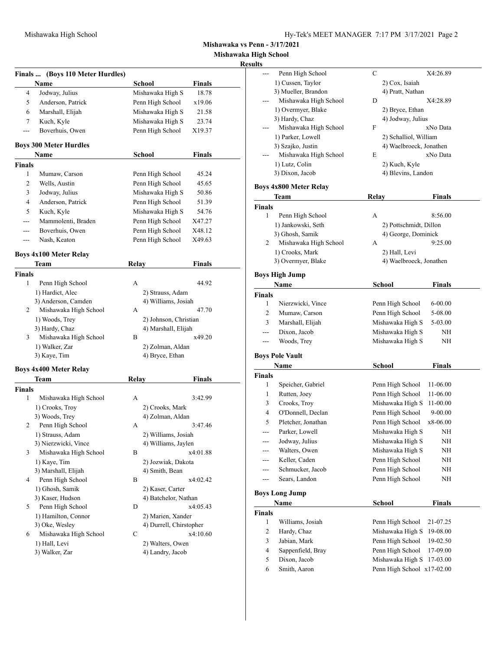**Mishawaka vs Penn - 3/17/2021**

**Mishawaka High School**

## **Resul**

|               | Finals  (Boys 110 Meter Hurdles)        |                                          |               |
|---------------|-----------------------------------------|------------------------------------------|---------------|
|               | Name                                    | School                                   | <b>Finals</b> |
| 4             | Jodway, Julius                          | Mishawaka High S                         | 18.78         |
| 5             | Anderson, Patrick                       | Penn High School                         | x19.06        |
| 6             | Marshall, Elijah                        | Mishawaka High S                         | 21.58         |
| 7             | Kuch, Kyle                              | Mishawaka High S                         | 23.74         |
| ---           | Boverhuis, Owen                         | Penn High School                         | X19.37        |
|               | <b>Boys 300 Meter Hurdles</b>           |                                          |               |
|               | <b>Name</b>                             | <b>School</b>                            | Finals        |
| <b>Finals</b> |                                         |                                          |               |
| 1             | Mumaw, Carson                           | Penn High School                         | 45.24         |
| 2             | Wells, Austin                           | Penn High School                         | 45.65         |
| 3             | Jodway, Julius                          | Mishawaka High S                         | 50.86         |
| 4             | Anderson, Patrick                       | Penn High School                         | 51.39         |
| 5             | Kuch, Kyle                              | Mishawaka High S                         | 54.76         |
| ---           | Mammolenti, Braden                      | Penn High School                         | X47.27        |
| ---           | Boverhuis, Owen                         | Penn High School                         | X48.12        |
| ---           | Nash, Keaton                            | Penn High School                         | X49.63        |
|               | <b>Boys 4x100 Meter Relay</b>           |                                          |               |
|               | Team                                    | Relay                                    | Finals        |
| Finals        |                                         |                                          |               |
| 1             | Penn High School                        | A                                        | 44.92         |
|               | 1) Hardict, Alec                        | 2) Strauss, Adam                         |               |
|               | 3) Anderson, Camden                     | 4) Williams, Josiah                      |               |
| 2             | Mishawaka High School                   | А                                        | 47.70         |
|               | 1) Woods, Trey                          | 2) Johnson, Christian                    |               |
|               | 3) Hardy, Chaz                          | 4) Marshall, Elijah                      |               |
| 3             | Mishawaka High School                   | В                                        | x49.20        |
|               | 1) Walker, Zar                          | 2) Zolman, Aldan                         |               |
|               | 3) Kaye, Tim                            | 4) Bryce, Ethan                          |               |
|               | <b>Boys 4x400 Meter Relay</b>           |                                          |               |
|               | Team                                    | Relay                                    | <b>Finals</b> |
| Finals        |                                         |                                          |               |
| 1             | Mishawaka High School                   | А                                        | 3:42.99       |
|               | 1) Crooks, Trov                         | 2) Crooks, Mark                          |               |
|               | 3) Woods, Trey                          | 4) Zolman, Aldan                         |               |
| 2             | Penn High School                        | А                                        | 3:47.46       |
|               | 1) Strauss, Adam                        | 2) Williams, Josiah                      |               |
|               | 3) Nierzwicki, Vince                    | 4) Williams, Jaylen                      |               |
| 3             | Mishawaka High School                   | В                                        | x4:01.88      |
|               | 1) Kaye, Tim                            | 2) Jozwiak, Dakota                       |               |
| 4             | 3) Marshall, Elijah<br>Penn High School | 4) Smith, Bean<br>В                      |               |
|               | 1) Ghosh, Samik                         |                                          | x4:02.42      |
|               | 3) Kaser, Hudson                        | 2) Kaser, Carter<br>4) Batchelor, Nathan |               |
| 5             | Penn High School                        | D                                        | x4:05.43      |
|               | 1) Hamilton, Connor                     | 2) Marien, Xander                        |               |
|               | 3) Oke, Wesley                          | 4) Durrell, Chirstopher                  |               |
| 6             | Mishawaka High School                   | С                                        | x4:10.60      |
|               | 1) Hall, Levi                           | 2) Walters, Owen                         |               |
|               | 3) Walker, Zar                          | 4) Landry, Jacob                         |               |
|               |                                         |                                          |               |

| Penn High School<br>С<br>X4:26.89<br>1) Cussen, Taylor<br>2) Cox, Isaiah<br>3) Mueller, Brandon<br>4) Pratt, Nathan<br>Mishawaka High School<br>X4:28.89<br>D<br>1) Overmyer, Blake<br>2) Bryce, Ethan<br>3) Hardy, Chaz<br>4) Jodway, Julius<br>Mishawaka High School<br>F<br>xNo Data<br>1) Parker, Lowell<br>2) Schalliol, William<br>3) Szajko, Justin<br>4) Waelbroeck, Jonathen<br>xNo Data<br>Mishawaka High School<br>E<br>1) Lutz, Colin<br>2) Kuch, Kyle<br>3) Dixon, Jacob<br>4) Blevins, Landon<br><b>Boys 4x800 Meter Relay</b><br><b>Relay</b><br>Team<br>Finals<br>1<br>Penn High School<br>А<br>1) Jankowski, Seth<br>2) Pottschmidt, Dillon<br>3) Ghosh, Samik<br>4) George, Dominick<br>Mishawaka High School<br>2<br>А<br>1) Crooks, Mark<br>2) Hall, Levi<br>3) Overmyer, Blake<br>4) Waelbroeck, Jonathen<br><b>Boys High Jump</b><br>Name<br>School<br><b>Finals</b><br>1<br>Nierzwicki, Vince<br>Penn High School<br>Penn High School<br>2<br>Mumaw, Carson | <b>Finals</b><br>8:56.00<br>9:25.00 |
|------------------------------------------------------------------------------------------------------------------------------------------------------------------------------------------------------------------------------------------------------------------------------------------------------------------------------------------------------------------------------------------------------------------------------------------------------------------------------------------------------------------------------------------------------------------------------------------------------------------------------------------------------------------------------------------------------------------------------------------------------------------------------------------------------------------------------------------------------------------------------------------------------------------------------------------------------------------------------------|-------------------------------------|
|                                                                                                                                                                                                                                                                                                                                                                                                                                                                                                                                                                                                                                                                                                                                                                                                                                                                                                                                                                                    |                                     |
|                                                                                                                                                                                                                                                                                                                                                                                                                                                                                                                                                                                                                                                                                                                                                                                                                                                                                                                                                                                    |                                     |
|                                                                                                                                                                                                                                                                                                                                                                                                                                                                                                                                                                                                                                                                                                                                                                                                                                                                                                                                                                                    |                                     |
|                                                                                                                                                                                                                                                                                                                                                                                                                                                                                                                                                                                                                                                                                                                                                                                                                                                                                                                                                                                    |                                     |
|                                                                                                                                                                                                                                                                                                                                                                                                                                                                                                                                                                                                                                                                                                                                                                                                                                                                                                                                                                                    |                                     |
|                                                                                                                                                                                                                                                                                                                                                                                                                                                                                                                                                                                                                                                                                                                                                                                                                                                                                                                                                                                    |                                     |
|                                                                                                                                                                                                                                                                                                                                                                                                                                                                                                                                                                                                                                                                                                                                                                                                                                                                                                                                                                                    |                                     |
|                                                                                                                                                                                                                                                                                                                                                                                                                                                                                                                                                                                                                                                                                                                                                                                                                                                                                                                                                                                    |                                     |
|                                                                                                                                                                                                                                                                                                                                                                                                                                                                                                                                                                                                                                                                                                                                                                                                                                                                                                                                                                                    |                                     |
|                                                                                                                                                                                                                                                                                                                                                                                                                                                                                                                                                                                                                                                                                                                                                                                                                                                                                                                                                                                    |                                     |
|                                                                                                                                                                                                                                                                                                                                                                                                                                                                                                                                                                                                                                                                                                                                                                                                                                                                                                                                                                                    |                                     |
|                                                                                                                                                                                                                                                                                                                                                                                                                                                                                                                                                                                                                                                                                                                                                                                                                                                                                                                                                                                    |                                     |
|                                                                                                                                                                                                                                                                                                                                                                                                                                                                                                                                                                                                                                                                                                                                                                                                                                                                                                                                                                                    |                                     |
|                                                                                                                                                                                                                                                                                                                                                                                                                                                                                                                                                                                                                                                                                                                                                                                                                                                                                                                                                                                    |                                     |
|                                                                                                                                                                                                                                                                                                                                                                                                                                                                                                                                                                                                                                                                                                                                                                                                                                                                                                                                                                                    |                                     |
|                                                                                                                                                                                                                                                                                                                                                                                                                                                                                                                                                                                                                                                                                                                                                                                                                                                                                                                                                                                    |                                     |
|                                                                                                                                                                                                                                                                                                                                                                                                                                                                                                                                                                                                                                                                                                                                                                                                                                                                                                                                                                                    |                                     |
|                                                                                                                                                                                                                                                                                                                                                                                                                                                                                                                                                                                                                                                                                                                                                                                                                                                                                                                                                                                    |                                     |
|                                                                                                                                                                                                                                                                                                                                                                                                                                                                                                                                                                                                                                                                                                                                                                                                                                                                                                                                                                                    |                                     |
|                                                                                                                                                                                                                                                                                                                                                                                                                                                                                                                                                                                                                                                                                                                                                                                                                                                                                                                                                                                    |                                     |
|                                                                                                                                                                                                                                                                                                                                                                                                                                                                                                                                                                                                                                                                                                                                                                                                                                                                                                                                                                                    |                                     |
|                                                                                                                                                                                                                                                                                                                                                                                                                                                                                                                                                                                                                                                                                                                                                                                                                                                                                                                                                                                    |                                     |
|                                                                                                                                                                                                                                                                                                                                                                                                                                                                                                                                                                                                                                                                                                                                                                                                                                                                                                                                                                                    | Finals                              |
|                                                                                                                                                                                                                                                                                                                                                                                                                                                                                                                                                                                                                                                                                                                                                                                                                                                                                                                                                                                    |                                     |
|                                                                                                                                                                                                                                                                                                                                                                                                                                                                                                                                                                                                                                                                                                                                                                                                                                                                                                                                                                                    | $6 - 00.00$                         |
|                                                                                                                                                                                                                                                                                                                                                                                                                                                                                                                                                                                                                                                                                                                                                                                                                                                                                                                                                                                    | 5-08.00                             |
| 3<br>Marshall, Elijah<br>Mishawaka High S                                                                                                                                                                                                                                                                                                                                                                                                                                                                                                                                                                                                                                                                                                                                                                                                                                                                                                                                          | 5-03.00                             |
| Dixon, Jacob<br>Mishawaka High S<br>---                                                                                                                                                                                                                                                                                                                                                                                                                                                                                                                                                                                                                                                                                                                                                                                                                                                                                                                                            | NH                                  |
| Mishawaka High S<br>Woods, Trey<br>---                                                                                                                                                                                                                                                                                                                                                                                                                                                                                                                                                                                                                                                                                                                                                                                                                                                                                                                                             | NH                                  |
| <b>Boys Pole Vault</b>                                                                                                                                                                                                                                                                                                                                                                                                                                                                                                                                                                                                                                                                                                                                                                                                                                                                                                                                                             |                                     |
| <b>School</b><br>Name                                                                                                                                                                                                                                                                                                                                                                                                                                                                                                                                                                                                                                                                                                                                                                                                                                                                                                                                                              | <b>Finals</b>                       |
| Finals                                                                                                                                                                                                                                                                                                                                                                                                                                                                                                                                                                                                                                                                                                                                                                                                                                                                                                                                                                             |                                     |
| 1<br>Speicher, Gabriel<br>Penn High School<br>11-06.00                                                                                                                                                                                                                                                                                                                                                                                                                                                                                                                                                                                                                                                                                                                                                                                                                                                                                                                             |                                     |
| 1<br>Rutten, Joey<br>Penn High School<br>11-06.00                                                                                                                                                                                                                                                                                                                                                                                                                                                                                                                                                                                                                                                                                                                                                                                                                                                                                                                                  |                                     |
| Crooks, Troy<br>Mishawaka High S<br>3<br>11-00.00                                                                                                                                                                                                                                                                                                                                                                                                                                                                                                                                                                                                                                                                                                                                                                                                                                                                                                                                  |                                     |
| O'Donnell, Declan<br>Penn High School<br>4                                                                                                                                                                                                                                                                                                                                                                                                                                                                                                                                                                                                                                                                                                                                                                                                                                                                                                                                         | 9-00.00                             |
| 5<br>Pletcher, Jonathan<br>Penn High School<br>x8-06.00                                                                                                                                                                                                                                                                                                                                                                                                                                                                                                                                                                                                                                                                                                                                                                                                                                                                                                                            |                                     |
| Mishawaka High S<br>Parker, Lowell<br>---                                                                                                                                                                                                                                                                                                                                                                                                                                                                                                                                                                                                                                                                                                                                                                                                                                                                                                                                          | NH                                  |
| Jodway, Julius<br>Mishawaka High S<br>---                                                                                                                                                                                                                                                                                                                                                                                                                                                                                                                                                                                                                                                                                                                                                                                                                                                                                                                                          | ΝH                                  |
| Walters, Owen<br>Mishawaka High S<br>---                                                                                                                                                                                                                                                                                                                                                                                                                                                                                                                                                                                                                                                                                                                                                                                                                                                                                                                                           | NH                                  |
| Keller, Caden<br>Penn High School<br>$\overline{\phantom{a}}$                                                                                                                                                                                                                                                                                                                                                                                                                                                                                                                                                                                                                                                                                                                                                                                                                                                                                                                      | NΗ                                  |
|                                                                                                                                                                                                                                                                                                                                                                                                                                                                                                                                                                                                                                                                                                                                                                                                                                                                                                                                                                                    | NH                                  |
| Schmucker, Jacob<br>Penn High School<br>---                                                                                                                                                                                                                                                                                                                                                                                                                                                                                                                                                                                                                                                                                                                                                                                                                                                                                                                                        |                                     |
| Sears, Landon<br>Penn High School<br>---                                                                                                                                                                                                                                                                                                                                                                                                                                                                                                                                                                                                                                                                                                                                                                                                                                                                                                                                           | NΗ                                  |
|                                                                                                                                                                                                                                                                                                                                                                                                                                                                                                                                                                                                                                                                                                                                                                                                                                                                                                                                                                                    |                                     |
| <b>Boys Long Jump</b>                                                                                                                                                                                                                                                                                                                                                                                                                                                                                                                                                                                                                                                                                                                                                                                                                                                                                                                                                              |                                     |
| Name<br>School                                                                                                                                                                                                                                                                                                                                                                                                                                                                                                                                                                                                                                                                                                                                                                                                                                                                                                                                                                     | <b>Finals</b>                       |
| <b>Finals</b><br>1                                                                                                                                                                                                                                                                                                                                                                                                                                                                                                                                                                                                                                                                                                                                                                                                                                                                                                                                                                 |                                     |
| Williams, Josiah<br>Penn High School<br>21-07.25                                                                                                                                                                                                                                                                                                                                                                                                                                                                                                                                                                                                                                                                                                                                                                                                                                                                                                                                   |                                     |
| $\overline{\mathbf{c}}$<br>Mishawaka High S<br>Hardy, Chaz<br>19-08.00                                                                                                                                                                                                                                                                                                                                                                                                                                                                                                                                                                                                                                                                                                                                                                                                                                                                                                             |                                     |
| Jabian, Mark<br>3<br>Penn High School<br>19-02.50<br>$\overline{\mathbf{4}}$                                                                                                                                                                                                                                                                                                                                                                                                                                                                                                                                                                                                                                                                                                                                                                                                                                                                                                       |                                     |
| Sappenfield, Bray<br>Penn High School<br>17-09.00<br>5<br>Dixon, Jacob                                                                                                                                                                                                                                                                                                                                                                                                                                                                                                                                                                                                                                                                                                                                                                                                                                                                                                             |                                     |
| Mishawaka High S<br>17-03.00<br>6<br>Smith, Aaron<br>Penn High School x17-02.00                                                                                                                                                                                                                                                                                                                                                                                                                                                                                                                                                                                                                                                                                                                                                                                                                                                                                                    |                                     |